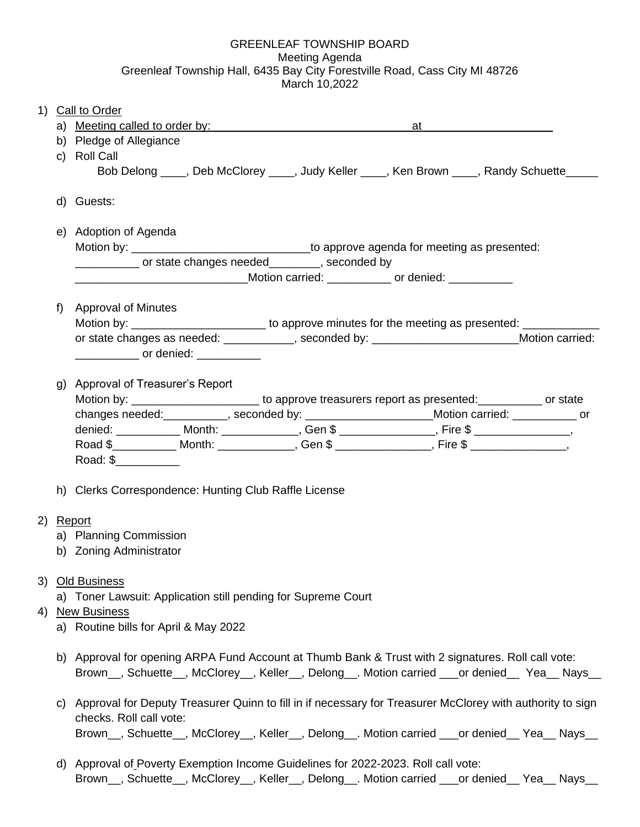## GREENLEAF TOWNSHIP BOARD Meeting Agenda Greenleaf Township Hall, 6435 Bay City Forestville Road, Cass City MI 48726 March 10,2022

| 1) |    | <b>Call to Order</b>                                                                                                                               |                                                                                                        |       |
|----|----|----------------------------------------------------------------------------------------------------------------------------------------------------|--------------------------------------------------------------------------------------------------------|-------|
|    | a) |                                                                                                                                                    |                                                                                                        | at at |
| b) |    | Pledge of Allegiance                                                                                                                               |                                                                                                        |       |
|    |    | c) Roll Call                                                                                                                                       |                                                                                                        |       |
|    |    |                                                                                                                                                    | Bob Delong ____, Deb McClorey ____, Judy Keller ____, Ken Brown ____, Randy Schuette ____              |       |
|    |    | d) Guests:                                                                                                                                         |                                                                                                        |       |
|    |    | e) Adoption of Agenda                                                                                                                              |                                                                                                        |       |
|    |    |                                                                                                                                                    |                                                                                                        |       |
|    |    | contract of state changes needed_________, seconded by                                                                                             |                                                                                                        |       |
|    |    | ___________________________________Motion carried: ______________ or denied: ___________                                                           |                                                                                                        |       |
|    | f) | Approval of Minutes                                                                                                                                |                                                                                                        |       |
|    |    |                                                                                                                                                    | Motion by: __________________________ to approve minutes for the meeting as presented: _________       |       |
|    |    |                                                                                                                                                    |                                                                                                        |       |
|    |    | or state changes as needed: ____________, seconded by: _________________________Motion carried:<br><u>_______________</u> or denied: _____________ |                                                                                                        |       |
|    |    |                                                                                                                                                    |                                                                                                        |       |
|    | g) | Approval of Treasurer's Report                                                                                                                     |                                                                                                        |       |
|    |    |                                                                                                                                                    | Motion by: __________________________ to approve treasurers report as presented: ____________ or state |       |
|    |    |                                                                                                                                                    | changes needed: __________, seconded by: _________________________Motion carried: ____________ or      |       |
|    |    |                                                                                                                                                    | denied: ______________ Month: ______________, Gen \$ ________________, Fire \$ _______________,        |       |
|    |    |                                                                                                                                                    | Road \$________________Month: ________________, Gen \$ ________________, Fire \$ _______________,      |       |
|    |    | Road: \$___________                                                                                                                                |                                                                                                        |       |
|    |    |                                                                                                                                                    |                                                                                                        |       |

h) Clerks Correspondence: Hunting Club Raffle License

## 2) Report

- a) Planning Commission
- b) Zoning Administrator

## 3) Old Business

- a) Toner Lawsuit: Application still pending for Supreme Court
- 4) New Business
	- a) Routine bills for April & May 2022
	- b) Approval for opening ARPA Fund Account at Thumb Bank & Trust with 2 signatures. Roll call vote: Brown\_\_, Schuette\_\_, McClorey\_\_, Keller\_\_, Delong\_\_. Motion carried \_\_\_or denied\_\_ Yea\_\_ Nays\_\_
	- c) Approval for Deputy Treasurer Quinn to fill in if necessary for Treasurer McClorey with authority to sign checks. Roll call vote: Brown\_\_, Schuette\_\_, McClorey\_\_, Keller\_\_, Delong\_\_. Motion carried \_\_\_or denied\_\_ Yea\_\_ Nays\_\_
	- d) Approval of Poverty Exemption Income Guidelines for 2022-2023. Roll call vote: Brown\_\_, Schuette\_\_, McClorey\_\_, Keller\_\_, Delong\_\_. Motion carried \_\_\_or denied\_\_ Yea\_\_ Nays\_\_